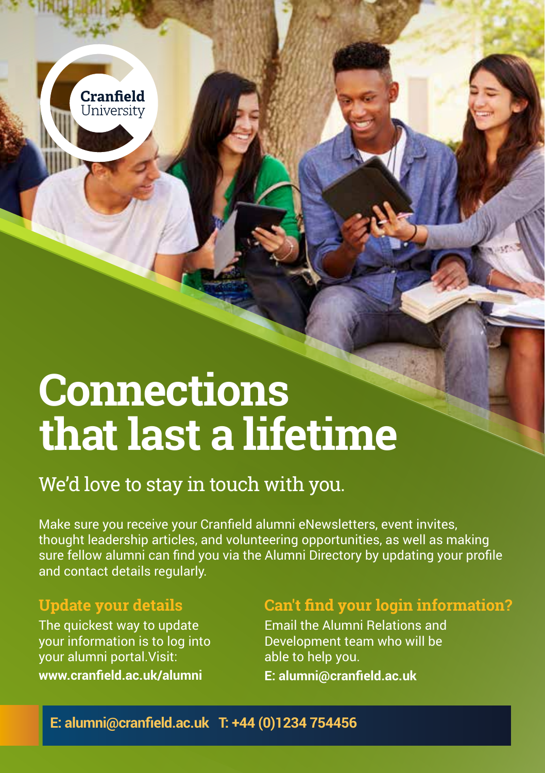

# We'd love to stay in touch with you.

Make sure you receive your Cranfield alumni eNewsletters, event invites, thought leadership articles, and volunteering opportunities, as well as making sure fellow alumni can find you via the Alumni Directory by updating your profile and contact details regularly.

### **Update your details**

Cranfield University

The quickest way to update your information is to log into your alumni portal.Visit: **www.cranfield.ac.uk/alumni**

## **Can't find your login information?**

Email the Alumni Relations and Development team who will be able to help you.

**E: alumni@cranfield.ac.uk**

#### **E: alumni@cranfield.ac.uk T: +44 (0)1234 754456**